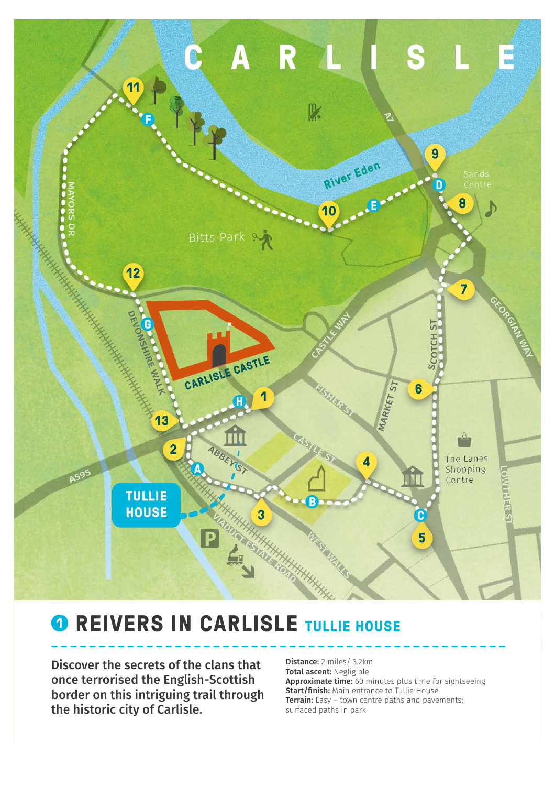

## **<sup>0</sup> REIVERS IN CARLISLE TULLIE HOUSE**

Discover the secrets of the clans that once terrorised the English-Scottish border on this intriguing trail through the historic city of Carlisle.

Distance: 2 miles/ 3.2km Total ascent: Negligible Approximate time: 60 minutes plus time for sightseeing Start/finish: Main entrance to Tullie House **Terrain:** Easy  $-$  town centre paths and pavements; surfaced paths in park